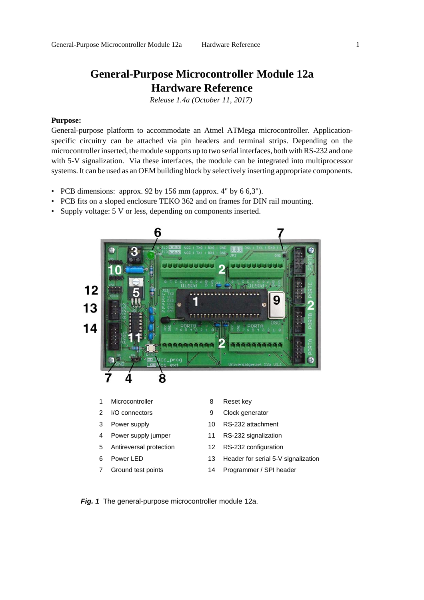## **General-Purpose Microcontroller Module 12a Hardware Reference**

*Release 1.4a (October 11, 2017)* 

#### **Purpose:**

General-purpose platform to accommodate an Atmel ATMega microcontroller. Applicationspecific circuitry can be attached via pin headers and terminal strips. Depending on the microcontroller inserted, the module supports up to two serial interfaces, both with RS-232 and one with 5-V signalization. Via these interfaces, the module can be integrated into multiprocessor systems. It can be used as an OEM building block by selectively inserting appropriate components.

- PCB dimensions: approx. 92 by 156 mm (approx. 4" by  $6.6,3$ ").
- PCB fits on a sloped enclosure TEKO 362 and on frames for DIN rail mounting.
- Supply voltage: 5 V or less, depending on components inserted.



*Fig. 1* The general-purpose microcontroller module 12a.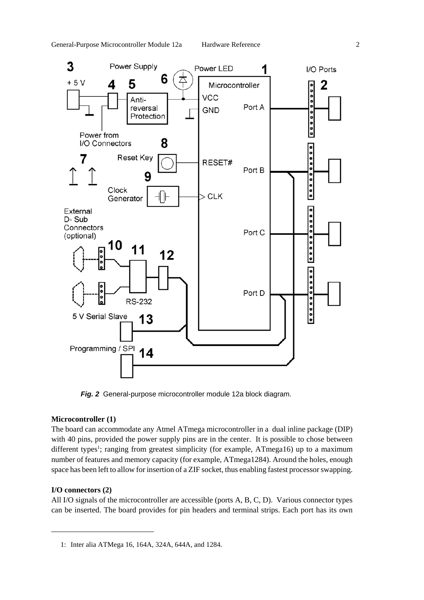

*Fig. 2* General-purpose microcontroller module 12a block diagram.

#### **Microcontroller (1)**

The board can accommodate any Atmel ATmega microcontroller in a dual inline package (DIP) with 40 pins, provided the power supply pins are in the center. It is possible to chose between different types<sup>1</sup>; ranging from greatest simplicity (for example, ATmega16) up to a maximum number of features and memory capacity (for example, ATmega1284). Around the holes, enough space has been left to allow for insertion of a ZIF socket, thus enabling fastest processor swapping.

#### **I/O connectors (2)**

All I/O signals of the microcontroller are accessible (ports A, B, C, D). Various connector types can be inserted. The board provides for pin headers and terminal strips. Each port has its own

<sup>1:</sup> Inter alia ATMega 16, 164A, 324A, 644A, and 1284.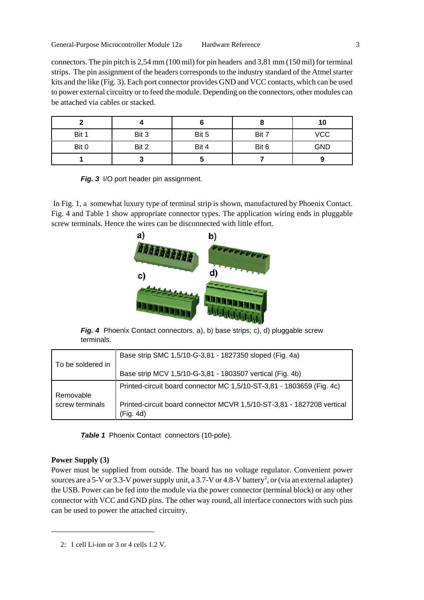connectors. The pin pitch is 2,54 mm (100 mil) for pin headers and 3,81 mm (150 mil) for terminal strips. The pin assignment of the headers corresponds to the industry standard of the Atmel starter kits and the like (Fig. 3). Each port connector provides GND and VCC contacts, which can be used to power external circuitry or to feed the module. Depending on the connectors, other modules can be attached via cables or stacked.

|       |       |       |       | 10         |
|-------|-------|-------|-------|------------|
| Bit 1 | Bit 3 | Bit 5 | Bit 7 | <b>VCC</b> |
| Bit 0 | Bit 2 | Bit 4 | Bit 6 | <b>GND</b> |
|       | w     |       |       |            |

**Fig. 3** I/O port header pin assignment.

 In Fig. 1, a somewhat luxury type of terminal strip is shown, manufactured by Phoenix Contact. Fig. 4 and Table 1 show appropriate connector types. The application wiring ends in pluggable screw terminals. Hence the wires can be disconnected with little effort.



*Fig. 4* Phoenix Contact connectors. a), b) base strips; c), d) pluggable screw terminals.

|                   | Base strip SMC 1,5/10-G-3,81 - 1827350 sloped (Fig. 4a)                |
|-------------------|------------------------------------------------------------------------|
| To be soldered in |                                                                        |
|                   | Base strip MCV 1,5/10-G-3,81 - 1803507 vertical (Fig. 4b)              |
|                   | Printed-circuit board connector MC 1,5/10-ST-3,81 - 1803659 (Fig. 4c)  |
| Removable         |                                                                        |
| screw terminals   | Printed-circuit board connector MCVR 1,5/10-ST-3,81 - 1827208 vertical |
|                   | (Fig. 4d)                                                              |

**Table 1** Phoenix Contact connectors (10-pole).

#### **Power Supply (3)**

Power must be supplied from outside. The board has no voltage regulator. Convenient power sources are a 5-V or 3.3-V power supply unit, a 3.7-V or 4.8-V battery<sup>2</sup>, or (via an external adapter) the USB. Power can be fed into the module via the power connector (terminal block) or any other connector with VCC and GND pins. The other way round, all interface connectors with such pins can be used to power the attached circuitry.

<sup>2: 1</sup> cell Li-ion or 3 or 4 cells 1.2 V.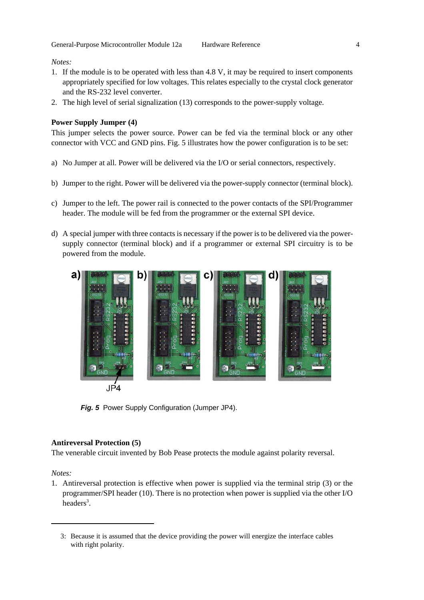*Notes:*

- 1. If the module is to be operated with less than 4.8 V, it may be required to insert components appropriately specified for low voltages. This relates especially to the crystal clock generator and the RS-232 level converter.
- 2. The high level of serial signalization (13) corresponds to the power-supply voltage.

#### **Power Supply Jumper (4)**

This jumper selects the power source. Power can be fed via the terminal block or any other connector with VCC and GND pins. Fig. 5 illustrates how the power configuration is to be set:

- a) No Jumper at all. Power will be delivered via the I/O or serial connectors, respectively.
- b) Jumper to the right. Power will be delivered via the power-supply connector (terminal block).
- c) Jumper to the left. The power rail is connected to the power contacts of the SPI/Programmer header. The module will be fed from the programmer or the external SPI device.
- d) A special jumper with three contacts is necessary if the power is to be delivered via the powersupply connector (terminal block) and if a programmer or external SPI circuitry is to be powered from the module.



*Fig. 5* Power Supply Configuration (Jumper JP4).

#### **Antireversal Protection (5)**

The venerable circuit invented by Bob Pease protects the module against polarity reversal.

*Notes:*

1. Antireversal protection is effective when power is supplied via the terminal strip (3) or the programmer/SPI header (10). There is no protection when power is supplied via the other I/O headers<sup>3</sup>.

<sup>3:</sup> Because it is assumed that the device providing the power will energize the interface cables with right polarity.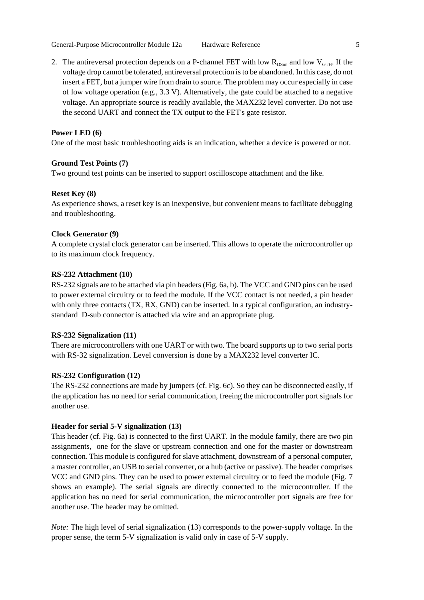2. The antireversal protection depends on a P-channel FET with low  $R_{DSon}$  and low  $V_{GTH}$ . If the voltage drop cannot be tolerated, antireversal protection is to be abandoned. In this case, do not insert a FET, but a jumper wire from drain to source. The problem may occur especially in case of low voltage operation (e.g.,  $3.3$  V). Alternatively, the gate could be attached to a negative voltage. An appropriate source is readily available, the MAX232 level converter. Do not use the second UART and connect the TX output to the FET's gate resistor.

#### **Power LED (6)**

One of the most basic troubleshooting aids is an indication, whether a device is powered or not.

#### **Ground Test Points (7)**

Two ground test points can be inserted to support oscilloscope attachment and the like.

#### **Reset Key (8)**

As experience shows, a reset key is an inexpensive, but convenient means to facilitate debugging and troubleshooting.

#### **Clock Generator (9)**

A complete crystal clock generator can be inserted. This allows to operate the microcontroller up to its maximum clock frequency.

#### **RS-232 Attachment (10)**

RS-232 signals are to be attached via pin headers (Fig. 6a, b). The VCC and GND pins can be used to power external circuitry or to feed the module. If the VCC contact is not needed, a pin header with only three contacts (TX, RX, GND) can be inserted. In a typical configuration, an industrystandard D-sub connector is attached via wire and an appropriate plug.

#### **RS-232 Signalization (11)**

There are microcontrollers with one UART or with two. The board supports up to two serial ports with RS-32 signalization. Level conversion is done by a MAX232 level converter IC.

#### **RS-232 Configuration (12)**

The RS-232 connections are made by jumpers (cf. Fig. 6c). So they can be disconnected easily, if the application has no need for serial communication, freeing the microcontroller port signals for another use.

#### **Header for serial 5-V signalization (13)**

This header (cf. Fig. 6a) is connected to the first UART. In the module family, there are two pin assignments, one for the slave or upstream connection and one for the master or downstream connection. This module is configured for slave attachment, downstream of a personal computer, a master controller, an USB to serial converter, or a hub (active or passive). The header comprises VCC and GND pins. They can be used to power external circuitry or to feed the module (Fig. 7 shows an example). The serial signals are directly connected to the microcontroller. If the application has no need for serial communication, the microcontroller port signals are free for another use. The header may be omitted.

*Note:* The high level of serial signalization (13) corresponds to the power-supply voltage. In the proper sense, the term 5-V signalization is valid only in case of 5-V supply.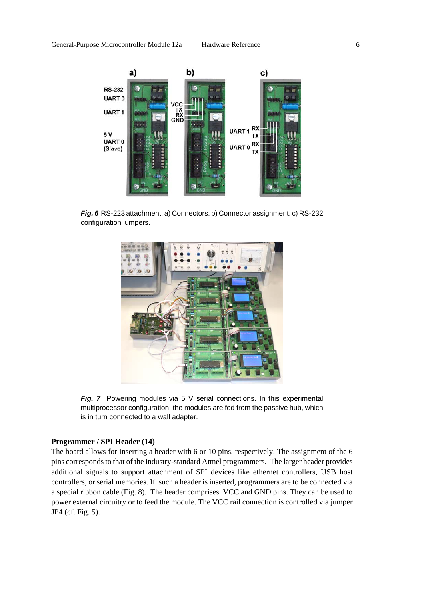

*Fig. 6* RS-223 attachment. a) Connectors. b) Connector assignment. c) RS-232 configuration jumpers.



**Fig. 7** Powering modules via 5 V serial connections. In this experimental multiprocessor configuration, the modules are fed from the passive hub, which is in turn connected to a wall adapter.

#### **Programmer / SPI Header (14)**

The board allows for inserting a header with 6 or 10 pins, respectively. The assignment of the 6 pins corresponds to that of the industry-standard Atmel programmers. The larger header provides additional signals to support attachment of SPI devices like ethernet controllers, USB host controllers, or serial memories. If such a header is inserted, programmers are to be connected via a special ribbon cable (Fig. 8). The header comprises VCC and GND pins. They can be used to power external circuitry or to feed the module. The VCC rail connection is controlled via jumper JP4 (cf. Fig. 5).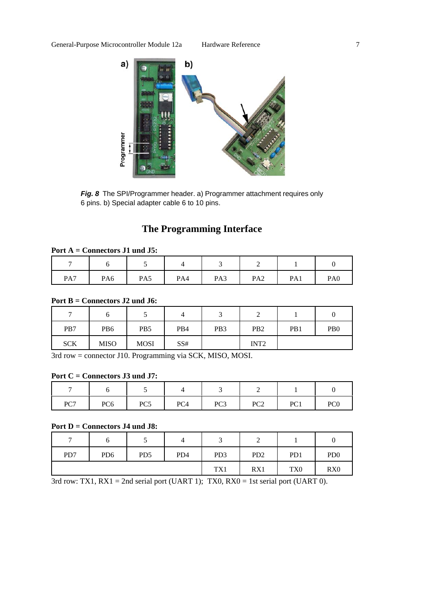

*Fig. 8* The SPI/Programmer header. a) Programmer attachment requires only 6 pins. b) Special adapter cable 6 to 10 pins.

# **The Programming Interface**

#### **Port A = Connectors J1 und J5:**

| PA7 | PA <sub>6</sub> | PA5 | PA4 | PA3 | PA <sub>2</sub> | PA1 | PA <sub>0</sub> |
|-----|-----------------|-----|-----|-----|-----------------|-----|-----------------|

#### **Port B = Connectors J2 und J6:**

| −          |                 | ◡               |     | ັ               | ∼                |     |                             |
|------------|-----------------|-----------------|-----|-----------------|------------------|-----|-----------------------------|
| PB7        | PB <sub>6</sub> | PB <sub>5</sub> | PB4 | PB <sub>3</sub> | P <sub>B</sub> 2 | PB1 | P <sub>B</sub> <sup>0</sup> |
| <b>SCK</b> | <b>MISO</b>     | <b>MOSI</b>     | SS# |                 | INT <sub>2</sub> |     |                             |

3rd row = connector J10. Programming via SCK, MISO, MOSI.

### **Port C = Connectors J3 und J7:**

| PC7 | PC <sub>6</sub> | PC <sub>5</sub> | PC4 | PC <sub>3</sub> | PC <sub>2</sub><br>$1 \cup 4$ | PC1 | PC <sub>0</sub> |
|-----|-----------------|-----------------|-----|-----------------|-------------------------------|-----|-----------------|

#### **Port D = Connectors J4 und J8:**

| $\overline{ }$ |                 |                 |                 |                 | ∽               |                  |                             |
|----------------|-----------------|-----------------|-----------------|-----------------|-----------------|------------------|-----------------------------|
| PD7            | PD <sub>6</sub> | PD <sub>5</sub> | PD <sub>4</sub> | PD <sub>3</sub> | PD <sub>2</sub> | P <sub>D</sub> 1 | P <sub>D</sub> <sub>0</sub> |
|                |                 |                 |                 | TX1             | RX1             | TX <sub>0</sub>  | RX0                         |

3rd row: TX1,  $RX1 = 2nd$  serial port (UART 1); TX0,  $RX0 = 1st$  serial port (UART 0).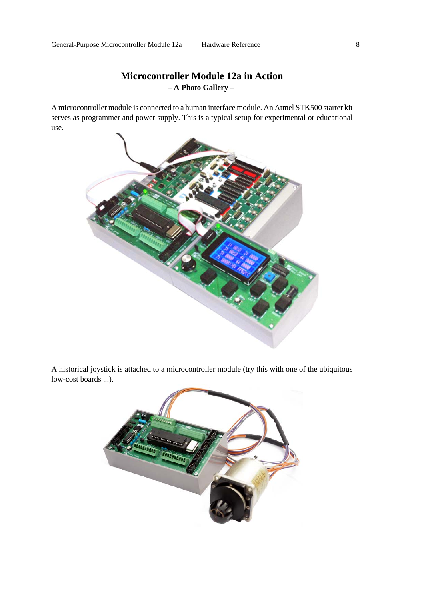## **Microcontroller Module 12a in Action – A Photo Gallery –**

A microcontroller module is connected to a human interface module. An Atmel STK500 starter kit serves as programmer and power supply. This is a typical setup for experimental or educational use.



A historical joystick is attached to a microcontroller module (try this with one of the ubiquitous low-cost boards ...).

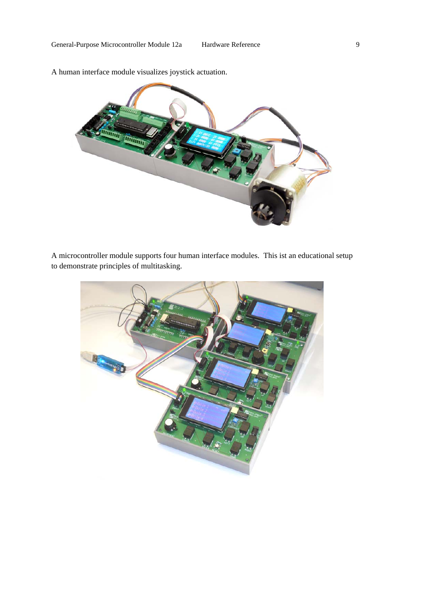

A human interface module visualizes joystick actuation.

A microcontroller module supports four human interface modules. This ist an educational setup to demonstrate principles of multitasking.